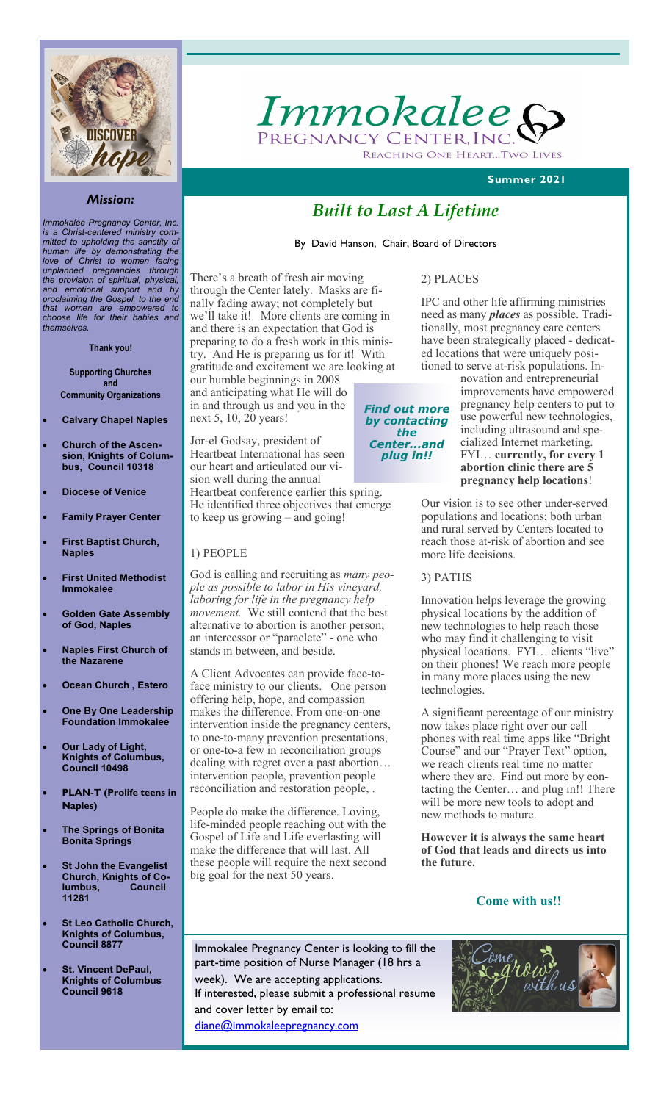

*Immokalee Pregnancy Center, Inc. is a Christ-centered ministry committed to upholding the sanctity of human life by demonstrating the love of Christ to women facing unplanned pregnancies through the provision of spiritual, physical, and emotional support and by proclaiming the Gospel, to the end that women are empowered to choose life for their babies and themselves.*

#### **Thank you!**

**Supporting Churches and Community Organizations**

- **Calvary Chapel Naples**
- **Church of the Ascension, Knights of Columbus, Council 10318**
- **Diocese of Venice**
- **Family Prayer Center**
- **First Baptist Church, Naples**
- **First United Methodist Immokalee**
- **Golden Gate Assembly of God, Naples**
- **Naples First Church of the Nazarene**
- **Ocean Church , Estero**
- **One By One Leadership Foundation Immokalee**
- **Our Lady of Light, Knights of Columbus, Council 10498**
- **PLAN-T (Prolife teens in Naples)**
- **The Springs of Bonita Bonita Springs**
- **St John the Evangelist Church, Knights of Columbus, Council 11281**
- **St Leo Catholic Church, Knights of Columbus, Council 8877**
- **St. Vincent DePaul, Knights of Columbus Council 9618**

Immokalee ( Pregnancy Center. Inc REACHING ONE HEART...TWO LIVES

 **Summer 2021**

# *Built to Last A Lifetime*

2) PLACES

By David Hanson, Chair, Board of Directors

There's a breath of fresh air moving through the Center lately. Masks are finally fading away; not completely but we'll take it! More clients are coming in and there is an expectation that God is preparing to do a fresh work in this ministry. And He is preparing us for it! With gratitude and excitement we are looking at

our humble beginnings in 2008 and anticipating what He will do in and through us and you in the next 5, 10, 20 years!

Jor-el Godsay, president of Heartbeat International has seen our heart and articulated our vision well during the annual Heartbeat conference earlier this spring. He identified three objectives that emerge to keep us growing – and going!

## 1) PEOPLE

God is calling and recruiting as *many people as possible to labor in His vineyard, laboring for life in the pregnancy help movement.* We still contend that the best alternative to abortion is another person; an intercessor or "paraclete" - one who stands in between, and beside.

A Client Advocates can provide face-toface ministry to our clients. One person offering help, hope, and compassion makes the difference. From one-on-one intervention inside the pregnancy centers, to one-to-many prevention presentations, or one-to-a few in reconciliation groups dealing with regret over a past abortion… intervention people, prevention people reconciliation and restoration people, .

People do make the difference. Loving, life-minded people reaching out with the Gospel of Life and Life everlasting will make the difference that will last. All these people will require the next second big goal for the next 50 years.

#### *Find out more by contacting the Center...and plug in!!*

IPC and other life affirming ministries need as many *places* as possible. Traditionally, most pregnancy care centers have been strategically placed - dedicated locations that were uniquely positioned to serve at-risk populations. In-

novation and entrepreneurial improvements have empowered pregnancy help centers to put to use powerful new technologies, including ultrasound and specialized Internet marketing. FYI… **currently, for every 1 abortion clinic there are 5 pregnancy help locations**!

Our vision is to see other under-served populations and locations; both urban and rural served by Centers located to reach those at-risk of abortion and see more life decisions.

#### 3) PATHS

Innovation helps leverage the growing physical locations by the addition of new technologies to help reach those who may find it challenging to visit physical locations. FYI… clients "live" on their phones! We reach more people in many more places using the new technologies.

A significant percentage of our ministry now takes place right over our cell phones with real time apps like "Bright Course" and our "Prayer Text" option, we reach clients real time no matter where they are. Find out more by contacting the Center… and plug in!! There will be more new tools to adopt and new methods to mature.

**However it is always the same heart of God that leads and directs us into the future.**

# **Come with us!!**

Immokalee Pregnancy Center is looking to fill the part-time position of Nurse Manager (18 hrs a week). We are accepting applications. If interested, please submit a professional resume and cover letter by email to: [diane@immokaleepregnancy.com](mailto:diane@immokaleepregnancy.com)